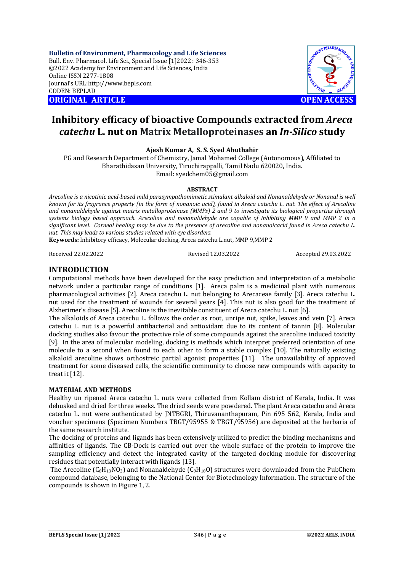**Bulletin of Environment, Pharmacology and Life Sciences** Bull. Env. Pharmacol. Life Sci., Special Issue [1]2022 : 346-353 ©2022 Academy for Environment and Life Sciences, India Online ISSN 2277-1808 Journal's URL:<http://www.bepls.com> CODEN: BEPLAD **ORIGINAL ARTICLE OPEN ACCESS** 



**Ajesh Kumar A, S. S. Syed Abuthahir**

PG and Research Department of Chemistry, Jamal Mohamed College (Autonomous), Affiliated to Bharathidasan University, Tiruchirappalli, Tamil Nadu 620020, India. Email: [syedchem05@gmail.com](mailto:syedchem05@gmail.com)

**ABSTRACT**

*Arecoline is a nicotinic acid-based mild parasympathomimetic stimulant alkaloid and Nonanaldehyde or Nonanal is well known for its fragrance property (in the form of nonanoic acid), found in Areca catechu L. nut. The effect of Arecoline and nonanaldehyde against matrix metalloproteinase (MMPs) 2 and 9 to investigate its biological properties through systems biology based approach. Arecoline and nonanaldehyde are capable of inhibiting MMP 9 and MMP 2 in a significant level. Corneal healing may be due to the presence of arecoline and nonanoicacid found in Areca catechu L. nut. This may leads to various studies related with eye disorders.* 

**Keywords:** Inhibitory efficacy, Molecular docking, Areca catechu L.nut, MMP 9,MMP 2

Received 22.02.2022 Revised 12.03.2022 Accepted 29.03.2022

# **INTRODUCTION**

Computational methods have been developed for the easy prediction and interpretation of a metabolic network under a particular range of conditions [1]. Areca palm is a medicinal plant with numerous pharmacological activities [2]. Areca catechu L. nut belonging to Arecaceae family [3]. Areca catechu L. nut used for the treatment of wounds for several years [4]. This nut is also good for the treatment of Alzherimer's disease [5]. Arecoline is the inevitable constituent of Areca catechu L. nut [6].

The alkaloids of Areca catechu L. follows the order as root, unripe nut, spike, leaves and vein [7]. Areca catechu L. nut is a powerful antibacterial and antioxidant due to its content of tannin [8]. Molecular docking studies also favour the protective role of some compounds against the arecoline induced toxicity [9]. In the area of molecular modeling, docking is methods which interpret preferred orientation of one molecule to a second when found to each other to form a stable complex [10]. The naturally existing alkaloid arecoline shows orthostreic partial agonist properties [11]. The unavailability of approved treatment for some diseased cells, the scientific community to choose new compounds with capacity to treat it [12].

## **MATERIAL AND METHODS**

Healthy un ripened Areca catechu L. nuts were collected from Kollam district of Kerala, India. It was dehusked and dried for three weeks. The dried seeds were powdered. The plant Areca catechu and Areca catechu L. nut were authenticated by JNTBGRI, Thiruvananthapuram, Pin 695 562, Kerala, India and voucher specimens (Specimen Numbers TBGT/95955 & TBGT/95956) are deposited at the herbaria of the same research institute.

The docking of proteins and ligands has been extensively utilized to predict the binding mechanisms and affinities of ligands. The CB-Dock is carried out over the whole surface of the protein to improve the sampling efficiency and detect the integrated cavity of the targeted docking module for discovering residues that potentially interact with ligands [13].

The Arecoline  $(C_8H_{13}NO_2)$  and Nonanaldehyde  $(C_9H_{18}O)$  structures were downloaded from the PubChem compound database, belonging to the National Center for Biotechnology Information. The structure of the compounds is shown in Figure 1, 2.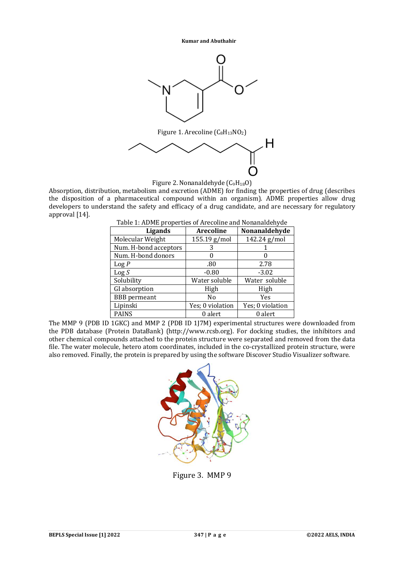



Absorption, distribution, metabolism and excretion (ADME) for finding the properties of drug (describes the disposition of a pharmaceutical compound within an organism). ADME properties allow drug developers to understand the safety and efficacy of a drug candidate, and are necessary for regulatory approval [14].

| Table 1. RDMD properties of Arccollife and Nonanahachyde |                  |                  |
|----------------------------------------------------------|------------------|------------------|
| Ligands                                                  | <b>Arecoline</b> | Nonanaldehyde    |
| Molecular Weight                                         | 155.19 g/mol     | 142.24 g/mol     |
| Num. H-bond acceptors                                    | 3                |                  |
| Num. H-bond donors                                       |                  |                  |
| $\text{Log } P$                                          | .80              | 2.78             |
| Log S                                                    | $-0.80$          | $-3.02$          |
| Solubility                                               | Water soluble    | Water soluble    |
| GI absorption                                            | High             | High             |
| <b>BBB</b> permeant                                      | No.              | Yes              |
| Lipinski                                                 | Yes; 0 violation | Yes; 0 violation |
| <b>PAINS</b>                                             | 0 alert          | 0 alert          |
|                                                          |                  |                  |

Table 1: ADME properties of Arecoline and Nonanaldehyde

The MMP 9 (PDB ID 1GKC) and MMP 2 (PDB ID 1J7M) experimental structures were downloaded from the PDB database (Protein DataBank) ([http://www.rcsb.org\).](http://www.rcsb.org).) For docking studies, the inhibitors and other chemical compounds attached to the protein structure were separated and removed from the data file. The water molecule, hetero atom coordinates, included in the co-crystallized protein structure, were also removed. Finally, the protein is prepared by using the software Discover Studio Visualizer software.



Figure 3. MMP 9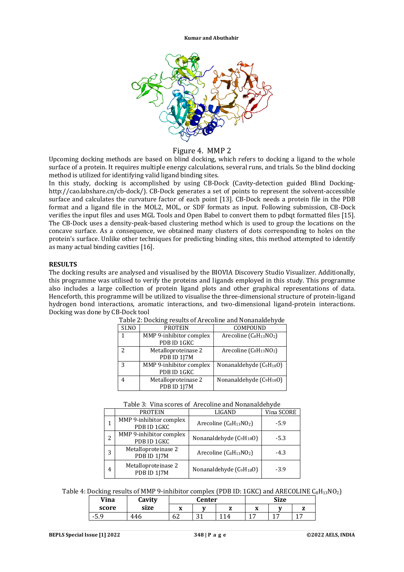

Figure 4. MMP 2

Upcoming docking methods are based on blind docking, which refers to docking a ligand to the whole surface of a protein. It requires multiple energy calculations, several runs, and trials. So the blind docking method is utilized for identifying valid ligand binding sites.

In this study, docking is accomplished by using CB-Dock (Cavity-detection guided Blind Docking[http://cao.labshare.cn/cb-dock/\).](http://cao.labshare.cn/cb-dock/).) CB-Dock generates a set of points to represent the solvent-accessible surface and calculates the curvature factor of each point [13]. CB-Dock needs a protein file in the PDB format and a ligand file in the MOL2, MOL, or SDF formats as input. Following submission, CB-Dock verifies the input files and uses MGL Tools and Open Babel to convert them to pdbqt formatted files [15]. The CB-Dock uses a density-peak-based clustering method which is used to group the locations on the concave surface. As a consequence, we obtained many clusters of dots corresponding to holes on the protein's surface. Unlike other techniques for predicting binding sites, this method attempted to identify as many actual binding cavities [16].

## **RESULTS**

The docking results are analysed and visualised by the BIOVIA Discovery Studio Visualizer. Additionally, this programme was utilised to verify the proteins and ligands employed in this study. This programme also includes a large collection of protein ligand plots and other graphical representations of data. Henceforth, this programme will be utilized to visualise the three-dimensional structure of protein-ligand hydrogen bond interactions, aromatic interactions, and two-dimensional ligand-protein interactions. Docking was done by CB-Dock tool

| SI.NO         | <b>PROTEIN</b>          | COMPOUND                                         |
|---------------|-------------------------|--------------------------------------------------|
| 1             | MMP 9-inhibitor complex | Arecoline $(C_8H_{13}NO_2)$                      |
|               | PDB ID 1GKC             |                                                  |
| $\mathcal{P}$ | Metalloproteinase 2     | Arecoline $(C_8H_{13}NO_2)$                      |
|               | PDB ID 1J7M             |                                                  |
| 3             | MMP 9-inhibitor complex | Nonanaldehyde $(C_9H_{18}O)$                     |
|               | PDB ID 1GKC             |                                                  |
|               | Metalloproteinase 2     | Nonanaldehyde (C <sub>9</sub> H <sub>18</sub> O) |
|               | PDB ID 1J7M             |                                                  |

Table 2: Docking results of Arecoline and Nonanaldehyde

| Table 3: Vina scores of Arecoline and Nonanaldehyde |  |  |  |  |
|-----------------------------------------------------|--|--|--|--|
|-----------------------------------------------------|--|--|--|--|

|   | <b>PROTEIN</b>                         | LIGAND                                           | Vina SCORE |
|---|----------------------------------------|--------------------------------------------------|------------|
| 1 | MMP 9-inhibitor complex<br>PDB ID 1GKC | Arecoline $(C_8H_{13}NO_2)$                      | $-5.9$     |
| 2 | MMP 9-inhibitor complex<br>PDB ID 1GKC | Nonanaldehyde (C <sub>9</sub> H <sub>18</sub> O) | $-5.3$     |
| 3 | Metalloproteinase 2<br>PDB ID 1J7M     | Arecoline $(C_8H_{13}NO_2)$                      | $-4.3$     |
| 4 | Metalloproteinase 2<br>PDB ID 1J7M     | Nonanaldehyde (C <sub>9</sub> H <sub>18</sub> O) | $-3.9$     |

Table 4: Docking results of MMP 9-inhibitor complex (PDB ID: 1GKC) and ARECOLINE  $C_8H_{13}NO_2$ )

| Vina     | Cavity | Center            |         |        |         | <b>Size</b>    |                |
|----------|--------|-------------------|---------|--------|---------|----------------|----------------|
| score    | size   | $\mathbf{r}$<br>л |         | 72<br> | --<br>л |                | п.<br>L        |
| -<br>رين | 446    | 62                | 01<br>ັ | Δ.     |         | $\overline{ }$ | $\overline{1}$ |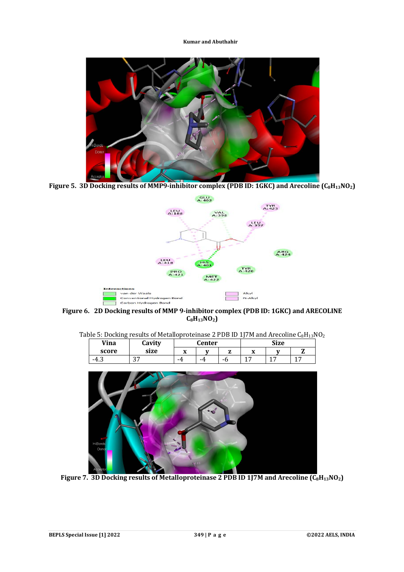

**Figure 5. 3D Docking results of MMP9-inhibitor complex (PDB ID: 1GKC) and Arecoline (C8H13NO2)**



**Figure 6. 2D Docking results of MMP 9-inhibitor complex (PDB ID: 1GKC) and ARECOLINE C8H13NO2)**

| Table 5: Docking results of Metalloproteinase 2 PDB ID 1J7M and Arecoline C <sub>8</sub> H <sub>13</sub> NO <sub>2</sub> |
|--------------------------------------------------------------------------------------------------------------------------|
|--------------------------------------------------------------------------------------------------------------------------|

| Vina   | Cavity      | Center                       |    |    | <b>Size</b>                            |     |   |
|--------|-------------|------------------------------|----|----|----------------------------------------|-----|---|
| score  | size        | --<br>$\boldsymbol{\Lambda}$ | -- | п  | $\mathbf{r}$<br>$\boldsymbol{\Lambda}$ |     | ┍ |
| $-4.5$ | $\sim$<br>ັ | -4                           | -4 | -6 | $\overline{4}$                         | . . | ◢ |



**Figure 7. 3D Docking results of Metalloproteinase 2 PDB ID 1J7M and Arecoline (C8H13NO2)**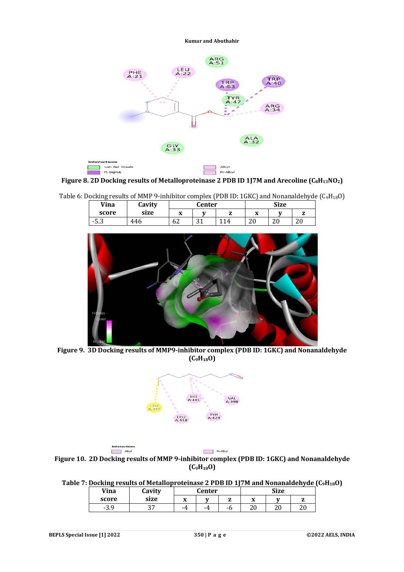

**Figure 8. 2D Docking results of Metalloproteinase 2 PDB ID 1J7M and Arecoline (C8H13NO2)**

Table 6: Docking results of MMP 9-inhibitor complex (PDB ID: 1GKC) and Nonanaldehyde (C<sub>9</sub>H<sub>18</sub>O)

| Vina       | Cavity | Center       |    |    | Size         |           |                |  |
|------------|--------|--------------|----|----|--------------|-----------|----------------|--|
| score      | size   | $\mathbf{A}$ |    | 7  | $\mathbf{A}$ |           | п              |  |
| -<br>- ა.ა | 446    | 62           | n. | 14 | ∠∪           | n n<br>∠∪ | $\Omega$<br>∠∪ |  |



**Figure 9. 3D Docking results of MMP9-inhibitor complex (PDB ID: 1GKC) and Nonanaldehyde (C9H18O)**





**Table 7: Docking results of Metalloproteinase 2 PDB ID 1J7M and Nonanaldehyde (C9H18O)**

| . .<br>Vina | Cavity          |                              | Center |       |                    | <b>Size</b> |        |
|-------------|-----------------|------------------------------|--------|-------|--------------------|-------------|--------|
| score       | size            | --<br>$\boldsymbol{\Lambda}$ |        | -<br> | --<br>$\mathbf{A}$ |             | -<br>∼ |
| −၁.⊳        | <u>_</u><br>، ب | -4                           | -4     | -0    | ገበ<br>∠∪           | ገበ<br>∠∪    | 20     |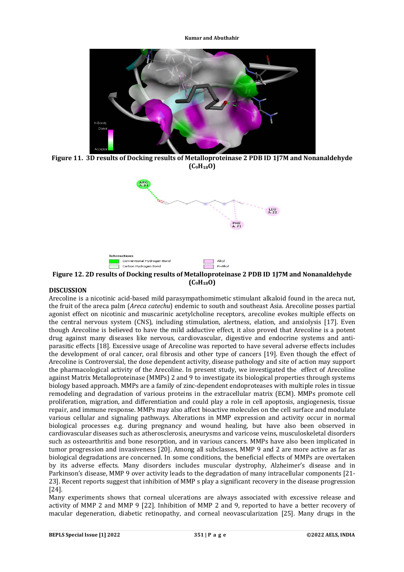

**Figure 11. 3D results of Docking results of Metalloproteinase 2 PDB ID 1J7M and Nonanaldehyde (C9H18O)**



**Figure 12. 2D results of Docking results of Metalloproteinase 2 PDB ID 1J7M and Nonanaldehyde (C9H18O)**

## **DISCUSSION**

Arecoline is a nicotinic acid-based mild parasympathomimetic stimulant alkaloid found in the areca nut, the fruit of the areca palm (*Areca catechu*) endemic to south and southeast Asia. Arecoline posses partial agonist effect on nicotinic and muscarinic acetylcholine receptors, arecoline evokes multiple effects on the central nervous system (CNS), including stimulation, alertness, elation, and anxiolysis [17]. Even though Arecoline is believed to have the mild adductive effect, it also proved that Arecoline is a potent drug against many diseases like nervous, cardiovascular, digestive and endocrine systems and antiparasitic effects [18]. Excessive usage of Arecoline was reported to have several adverse effects includes the development of oral cancer, oral fibrosis and other type of cancers [19]. Even though the effect of Arecoline is Controversial, the dose dependent activity, disease pathology and site of action may support the pharmacological activity of the Arecoline. In present study, we investigated the effect of Arecoline against Matrix Metalloproteinase (MMPs) 2 and 9 to investigate its biological properties through systems biology based approach. MMPs are a family of zinc-dependent endoproteases with multiple roles in tissue remodeling and degradation of various proteins in the extracellular matrix (ECM). MMPs promote cell proliferation, migration, and differentiation and could play a role in cell apoptosis, angiogenesis, tissue repair, and immune response. MMPs may also affect bioactive molecules on the cell surface and modulate various cellular and signaling pathways. Alterations in MMP expression and activity occur in normal biological processes e.g. during pregnancy and wound healing, but have also been observed in cardiovascular diseases such as atherosclerosis, aneurysms and varicose veins, musculoskeletal disorders such as osteoarthritis and bone resorption, and in various cancers. MMPs have also been implicated in tumor progression and invasiveness [20]. Among all subclasses, MMP 9 and 2 are more active as far as biological degradations are concerned. In some conditions, the beneficial effects of MMPs are overtaken by its adverse effects. Many disorders includes muscular dystrophy, Alzheimer's disease and in Parkinson's disease, MMP 9 over activity leads to the degradation of many intracellular components [21- 23]. Recent reports suggest that inhibition of MMP s play a significant recovery in the disease progression [24].

Many experiments shows that corneal ulcerations are always associated with excessive release and activity of MMP 2 and MMP 9 [22]. Inhibition of MMP 2 and 9, reported to have a better recovery of macular degeneration, diabetic retinopathy, and corneal neovascularization [25]. Many drugs in the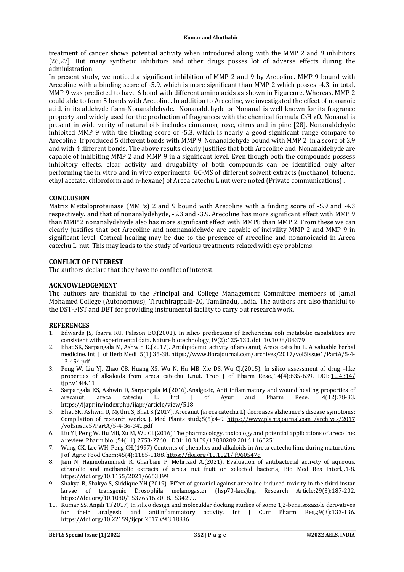treatment of cancer shows potential activity when introduced along with the MMP 2 and 9 inhibitors [26,27]. But many synthetic inhibitors and other drugs posses lot of adverse effects during the administration.

In present study, we noticed a significant inhibition of MMP 2 and 9 by Arecoline. MMP 9 bound with Arecoline with a binding score of -5.9, which is more significant than MMP 2 which posses -4.3. in total, MMP 9 was predicted to have 6 bond with different amino acids as shown in Figureure. Whereas, MMP 2 could able to form 5 bonds with Arecoline. In addition to Arecoline, we investigated the effect of nonanoic acid, in its aldehyde form-Nonanaldehyde. Nonanaldehyde or Nonanal is well known for its fragrance property and widely used for the production of fragrances with the chemical formula C9H18O. Nonanal is present in wide verity of natural oils includes cinnamon, rose, citrus and in pine [28]. Nonanaldehyde inhibited MMP 9 with the binding score of -5.3, which is nearly a good significant range compare to Arecoline. If produced 5 different bonds with MMP 9. Nonanaldehyde bound with MMP 2 in a score of 3.9 and with 4 different bonds. The above results clearly justifies that both Arecoline and Nonanaldehyde are capable of inhibiting MMP 2 and MMP 9 in a significant level. Even though both the compounds possess inhibitory effects, clear activity and drugability of both compounds can be identified only after performing the in vitro and in vivo experiments. GC-MS of different solvent extracts (methanol, toluene, ethyl acetate, chloroform and n-hexane) of Areca catechu L.nut were noted (Private communications) .

### **CONCLUSION**

Matrix Mettaloproteinase (MMPs) 2 and 9 bound with Arecoline with a finding score of -5.9 and -4.3 respectively. and that of nonanalydehyde, -5.3 and -3.9. Arecoline has more significant effect with MMP 9 than MMP 2 nonanalydehyde also has more significant effect with MMP8 than MMP 2. From these we can clearly justifies that bot Arecoline and nonnanaldehyde are capable of incivility MMP 2 and MMP 9 in significant level. Corneal healing may be due to the presence of arecoline and nonanoicacid in Areca catechu L. nut. This may leads to the study of various treatments related with eye problems.

#### **CONFLICT OF INTEREST**

The authors declare that they have no conflict of interest.

#### **ACKNOWLEDGEMENT**

The authors are thankful to the Principal and College Management Committee members of Jamal Mohamed College (Autonomous), Tiruchirappalli-20, Tamilnadu, India. The authors are also thankful to the DST-FIST and DBT for providing instrumental facility to carry out research work.

### **REFERENCES**

- 1. Edwards JS, Ibarra RU, Palsson BO.(2001). In silico predictions of Escherichia coli metabolic capabilities are consistent with experimental data. Nature biotechnology;19(2):125-130. doi: 10.1038/84379
- 2. Bhat SK, Sarpangala M, Ashwin D.(2017). Antilipidemic activity of arecanut, Areca catechu L. A valuable herbal medicine. Intl J of Herb Medi ;5(1):35-38. <https://www.florajournal.com/archives/2017/vol5issue1/PartA/5-4-> 13-454.pdf
- 3. Peng W, Liu YJ, Zhao CB, Huang XS, Wu N, Hu MB, Xie DS, Wu CJ.(2015). In silico assessment of drug –like properties of alkaloids from areca catechu L.nut. Trop J of Pharm Rese.;14(4):635-639. DOI: 10.4314/ tipr.v14i4.11
- 4. Sarpangala KS, Ashwin D, Sarpangala M.(2016).Analgesic, Anti inflammatory and wound healing properties of arecanut. arecanut cate chu L. Intl I of Avur and Pharm Rese. :4(12):78-83. arecanut, areca catechu L. Intl J of Ayur and Pharm Rese. ;4(12):78-83. <https://ijapr.in/index.php/ijapr/article/view/518>
- 5. Bhat SK, Ashwin D, Mythri S, Bhat S.(2017). Arecanut (areca catechu L) decreases alzheimer's disease symptoms: Compilation of research works. J. Med Plants stud.;5(5):4-9. <https://www.plantsjournal.com> /archives/2017 /vol5issue5/PartA/5-4-36-341.pdf
- 6. Liu YJ, Peng W, Hu MB, Xu M, Wu CJ.(2016) The pharmacology, toxicology and potential applications of arecoline: a review. Pharm bio. ;54(11):2753-2760. DOI: 10.3109/13880209.2016.1160251
- 7. Wang CK, Lee WH, Peng CH.(1997) Contents of phenolics and alkaloids in Areca catechu linn. during maturation. J of Agric Food Chem;45(4):1185-1188.<https://doi.org/10.1021/jf960547q>
- 8. Jam N, Hajimohammadi R, Gharbani P, Mehrizad A.(2021). Evaluation of antibacterial activity of aqueous, ethanolic and methanolic extracts of areca nut fruit on selected bacteria, Bio Med Res Interl.;.1-8. <https://doi.org/10.1155/2021/6663399>
- 9. Shakya B, Shakya S, Siddique YH.(2019). Effect of geraniol against arecoline induced toxicity in the third instar larvae of transgenic Drosophila melanogaster (hsp70-lacz)bg. Research Article;29(3):187-202. <https://doi.org/10.1080/15376516.2018.1534299.>
- 10. Kumar SS, Anjali T.(2017) In silico design and molecuklar docking studies of some 1,2-benzisoxazole derivatives for their analgesic and antiinflammatory activity. Int J Curr Pharm Res,.;9(3):133-136. <https://doi.org/10.22159/ijcpr.2017.v9i3.18886>